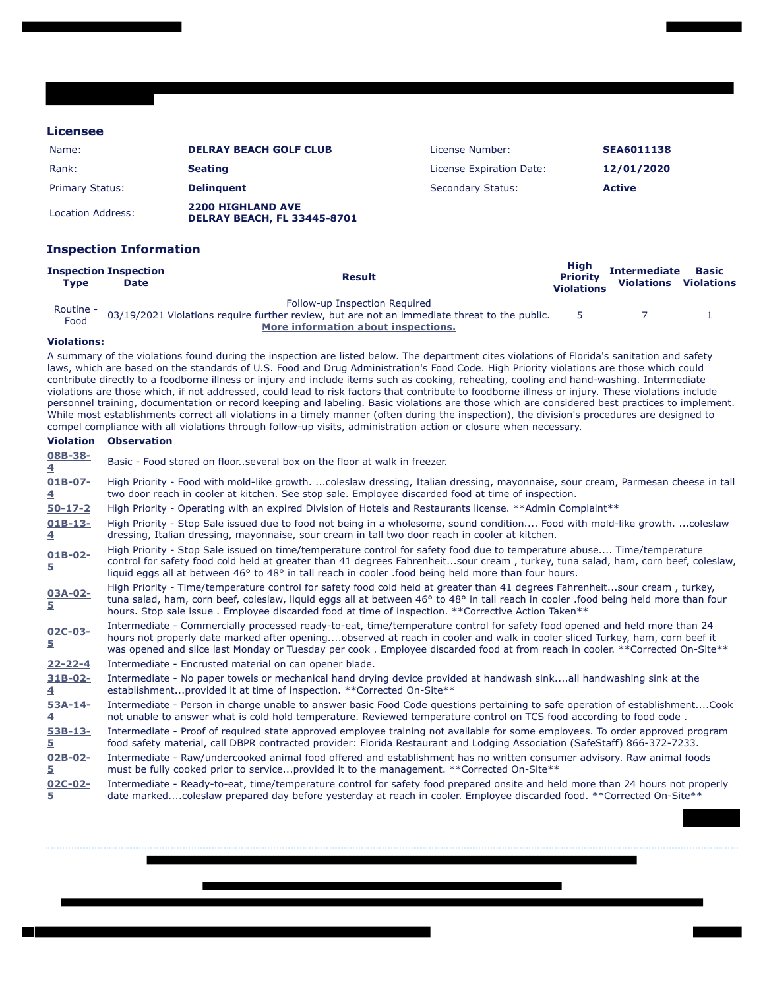## **Licensee**

| Name:                  | <b>DELRAY BEACH GOLF CLUB</b>                                  | License Number:          | <b>SEA6011138</b> |
|------------------------|----------------------------------------------------------------|--------------------------|-------------------|
| Rank:                  | <b>Seating</b>                                                 | License Expiration Date: | 12/01/2020        |
| <b>Primary Status:</b> | <b>Delinguent</b>                                              | <b>Secondary Status:</b> | <b>Active</b>     |
| Location Address:      | <b>2200 HIGHLAND AVE</b><br><b>DELRAY BEACH, FL 33445-8701</b> |                          |                   |

## **Inspection Information**

| Tvpe              | <b>Inspection Inspection</b><br><b>Date</b> | <b>Result</b>                                                                                | High<br><b>Priority</b><br><b>Violations</b> | <b>Intermediate</b><br>Violations | <b>Basic</b><br><b>Violations</b> |
|-------------------|---------------------------------------------|----------------------------------------------------------------------------------------------|----------------------------------------------|-----------------------------------|-----------------------------------|
| Routine -<br>Food |                                             | Follow-up Inspection Required                                                                |                                              |                                   |                                   |
|                   |                                             | 03/19/2021 Violations require further review, but are not an immediate threat to the public. | -5.                                          |                                   |                                   |
|                   |                                             | More information about inspections.                                                          |                                              |                                   |                                   |

## **Violations:**

A summary of the violations found during the inspection are listed below. The department cites violations of Florida's sanitation and safety laws, which are based on the standards of U.S. Food and Drug Administration's Food Code. High Priority violations are those which could contribute directly to a foodborne illness or injury and include items such as cooking, reheating, cooling and hand-washing. Intermediate violations are those which, if not addressed, could lead to risk factors that contribute to foodborne illness or injury. These violations include personnel training, documentation or record keeping and labeling. Basic violations are those which are considered best practices to implement. While most establishments correct all violations in a timely manner (often during the inspection), the division's procedures are designed to compel compliance with all violations through follow-up visits, administration action or closure when necessary.

## **Violation Observation**

| 08B-38-<br>4   | Basic - Food stored on floor, several box on the floor at walk in freezer.                                                                                                                                                                                                                                                                                                               |
|----------------|------------------------------------------------------------------------------------------------------------------------------------------------------------------------------------------------------------------------------------------------------------------------------------------------------------------------------------------------------------------------------------------|
| $01B-07-$      | High Priority - Food with mold-like growth. coleslaw dressing, Italian dressing, mayonnaise, sour cream, Parmesan cheese in tall                                                                                                                                                                                                                                                         |
| 4              | two door reach in cooler at kitchen. See stop sale. Employee discarded food at time of inspection.                                                                                                                                                                                                                                                                                       |
| $50 - 17 - 2$  | High Priority - Operating with an expired Division of Hotels and Restaurants license. **Admin Complaint**                                                                                                                                                                                                                                                                                |
| $01B-13-$      | High Priority - Stop Sale issued due to food not being in a wholesome, sound condition Food with mold-like growth. coleslaw                                                                                                                                                                                                                                                              |
| 4              | dressing, Italian dressing, mayonnaise, sour cream in tall two door reach in cooler at kitchen.                                                                                                                                                                                                                                                                                          |
| $01B-02-$<br>5 | High Priority - Stop Sale issued on time/temperature control for safety food due to temperature abuse Time/temperature<br>control for safety food cold held at greater than 41 degrees Fahrenheitsour cream, turkey, tuna salad, ham, corn beef, coleslaw,<br>liquid eggs all at between 46° to 48° in tall reach in cooler .food being held more than four hours.                       |
| 03A-02-<br>5   | High Priority - Time/temperature control for safety food cold held at greater than 41 degrees Fahrenheitsour cream, turkey,<br>tuna salad, ham, corn beef, coleslaw, liquid eggs all at between 46° to 48° in tall reach in cooler food being held more than four<br>hours. Stop sale issue . Employee discarded food at time of inspection. **Corrective Action Taken**                 |
| $02C-03-$<br>5 | Intermediate - Commercially processed ready-to-eat, time/temperature control for safety food opened and held more than 24<br>hours not properly date marked after openingobserved at reach in cooler and walk in cooler sliced Turkey, ham, corn beef it<br>was opened and slice last Monday or Tuesday per cook. Employee discarded food at from reach in cooler. **Corrected On-Site** |
| $22 - 22 - 4$  | Intermediate - Encrusted material on can opener blade.                                                                                                                                                                                                                                                                                                                                   |
| $31B-02-$      | Intermediate - No paper towels or mechanical hand drying device provided at handwash sinkall handwashing sink at the                                                                                                                                                                                                                                                                     |
| 4              | establishmentprovided it at time of inspection. **Corrected On-Site**                                                                                                                                                                                                                                                                                                                    |
| $53A-14-$      | Intermediate - Person in charge unable to answer basic Food Code questions pertaining to safe operation of establishmentCook                                                                                                                                                                                                                                                             |
| 4              | not unable to answer what is cold hold temperature. Reviewed temperature control on TCS food according to food code.                                                                                                                                                                                                                                                                     |
| $53B-13-$      | Intermediate - Proof of required state approved employee training not available for some employees. To order approved program                                                                                                                                                                                                                                                            |
| 5.             | food safety material, call DBPR contracted provider: Florida Restaurant and Lodging Association (SafeStaff) 866-372-7233.                                                                                                                                                                                                                                                                |
| $02B-02-$      | Intermediate - Raw/undercooked animal food offered and establishment has no written consumer advisory. Raw animal foods                                                                                                                                                                                                                                                                  |
| 5.             | must be fully cooked prior to serviceprovided it to the management. **Corrected On-Site**                                                                                                                                                                                                                                                                                                |
| $02C-02-$      | Intermediate - Ready-to-eat, time/temperature control for safety food prepared onsite and held more than 24 hours not properly                                                                                                                                                                                                                                                           |
| 5.             | date markedcoleslaw prepared day before yesterday at reach in cooler. Employee discarded food. **Corrected On-Site**                                                                                                                                                                                                                                                                     |